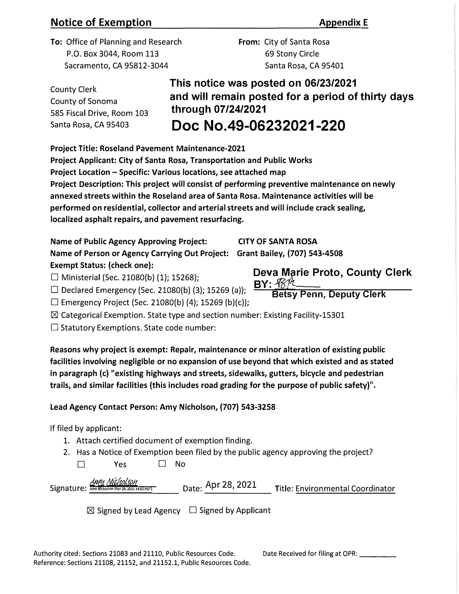## **Notice of Exemption Appendix E Appendix E**

To: Office of Planning and Research P.O. Box 3044, Room 113 Sacramento, CA 95812-3044

From: City of Santa Rosa 69 Stony Circle Santa Rosa, CA 95401

County Clerk County of Sonoma 585 Fiscal Drive, Room 103 Santa Rosa, CA 95403

**This notice was posted on 06/23/2021 and will remain posted for a period of thirty days through 07/24/2021 Doc No.49-06232021-220** 

Project Title: Roseland Pavement Maintenance-2021

Project Applicant: City of Santa Rosa, Transportation and Public Works Project Location - Specific: Various locations, see attached map Project Description: This project will consist of performing preventive maintenance on newly annexed streets within the Roseland area of Santa Rosa. Maintenance activities will be performed on residential, collector and arterial streets and will include crack sealing, localized asphalt repairs, and pavement resurfacing.

Name of Public Agency Approving Project: CITY OF **SANTA ROSA** Name of Person or Agency Carrying Out Project: Grant Bailey, (707) 543-4508 Exempt Status: (check one):

□ Ministerial (Sec. 21080(b) (1); 15268);<br>□ Declared Emergency (Sec. 21080(b) (3); 15269 (a)); BY:  $\frac{BY: 187\%}{\%}$ <br>**Betsy Penn, Deputy Clerk** □ Declared Emergency (Sec. 21080(b) (3); 15269 (a));

 $\square$  Emergency Project (Sec. 21080(b) (4); 15269 (b)(c));

**IZI** Categorical Exemption. State type and section number: Existing Facility-15301

 $\square$  Statutory Exemptions. State code number:

Reasons why project is exempt: Repair, maintenance or minor alteration of existing public facilities involving negligible or no expansion of use beyond that which existed and as stated in paragraph (c) "existing highways and streets, sidewalks, gutters, bicycle and pedestrian trails, and similar facilities (this includes road grading for the purpose of public safety)".

## Lead Agency Contact Person: Amy Nicholson, (707) 543-3258

If filed by applicant:

- 1. Attach certified document of exemption finding.
- 2. Has a Notice of Exemption been filed by the public agency approving the project?

| $\Box$ | Yes | $\square$ No |
|--------|-----|--------------|

| <u>Amy Nicholson</u><br>Signature: Amy Nicholson (Apr 28, 2021 14:02 PDT) | Date: Apr 28, 2021 | Title: Environmental Coordinator |
|---------------------------------------------------------------------------|--------------------|----------------------------------|
|                                                                           |                    |                                  |

**IZI** Signed by Lead Agency □ Signed by Applicant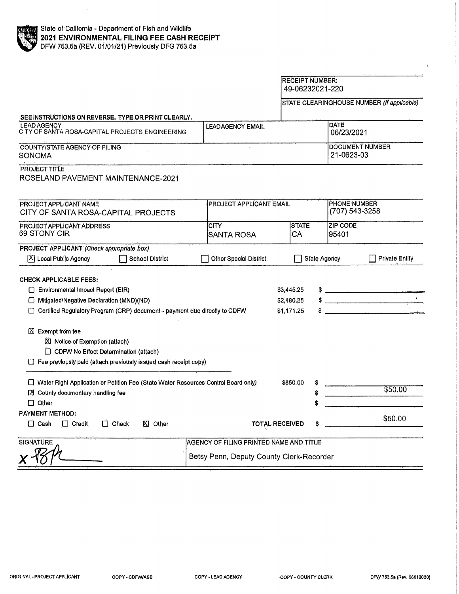|                                                                                                                                                                         |                                          | <b>RECEIPT NUMBER:</b><br>49-06232021-220 |                     |                                       |                                                                                                                                                                                                                                                                                                                     |
|-------------------------------------------------------------------------------------------------------------------------------------------------------------------------|------------------------------------------|-------------------------------------------|---------------------|---------------------------------------|---------------------------------------------------------------------------------------------------------------------------------------------------------------------------------------------------------------------------------------------------------------------------------------------------------------------|
|                                                                                                                                                                         |                                          |                                           |                     |                                       | STATE CLEARINGHOUSE NUMBER (If applicable)                                                                                                                                                                                                                                                                          |
| SEE INSTRUCTIONS ON REVERSE. TYPE OR PRINT CLEARLY.                                                                                                                     |                                          |                                           |                     |                                       |                                                                                                                                                                                                                                                                                                                     |
| <b>LEAD AGENCY</b><br>CITY OF SANTA ROSA-CAPITAL PROJECTS ENGINEERING                                                                                                   | <b>LEADAGENCY EMAIL</b>                  |                                           |                     | <b>DATE</b><br>06/23/2021             |                                                                                                                                                                                                                                                                                                                     |
| COUNTY/STATE AGENCY OF FILING<br><b>SONOMA</b>                                                                                                                          |                                          | DOCUMENT NUMBER<br>21-0623-03             |                     |                                       |                                                                                                                                                                                                                                                                                                                     |
| <b>PROJECT TITLE</b><br>ROSELAND PAVEMENT MAINTENANCE-2021                                                                                                              |                                          |                                           |                     |                                       |                                                                                                                                                                                                                                                                                                                     |
| PROJECT APPLICANT NAME<br>CITY OF SANTA ROSA-CAPITAL PROJECTS                                                                                                           | <b>PROJECT APPLICANT EMAIL</b>           |                                           |                     | <b>PHONE NUMBER</b><br>(707) 543-3258 |                                                                                                                                                                                                                                                                                                                     |
| <b>PROJECT APPLICANT ADDRESS</b><br>69 STONY CIR                                                                                                                        | <b>CITY</b><br><b>SANTA ROSA</b>         | <b>STATE</b><br>CA                        |                     | <b>ZIP CODE</b><br>95401              |                                                                                                                                                                                                                                                                                                                     |
| PROJECT APPLICANT (Check appropriate box)<br>区 Local Public Agency<br><b>School District</b>                                                                            | Other Special District.                  |                                           | <b>State Agency</b> |                                       | <b>Private Entity</b>                                                                                                                                                                                                                                                                                               |
| <b>CHECK APPLICABLE FEES:</b><br>Environmental Impact Report (EIR)                                                                                                      |                                          | \$3,445.25                                |                     |                                       | $\frac{1}{2}$ $\frac{1}{2}$ $\frac{1}{2}$ $\frac{1}{2}$ $\frac{1}{2}$ $\frac{1}{2}$ $\frac{1}{2}$ $\frac{1}{2}$ $\frac{1}{2}$ $\frac{1}{2}$ $\frac{1}{2}$ $\frac{1}{2}$ $\frac{1}{2}$ $\frac{1}{2}$ $\frac{1}{2}$ $\frac{1}{2}$ $\frac{1}{2}$ $\frac{1}{2}$ $\frac{1}{2}$ $\frac{1}{2}$ $\frac{1}{2}$ $\frac{1}{2}$ |
| □ Millgated/Negative Declaration (MND)(ND)                                                                                                                              |                                          | \$2,480,25                                |                     |                                       | $\langle AA \rangle$<br>the company of the company of the company of the company of the company of the company of the company of the company of the company of the company of the company of the company of the company of the company of the company                                                               |
| Certified Regulatory Program (CRP) document - payment due directly to CDFW<br>\$1,171.25                                                                                |                                          |                                           |                     |                                       |                                                                                                                                                                                                                                                                                                                     |
| 区 Exempt from fee<br>■ Notice of Exemption (attach)<br>CDFW No Effect Determination (attach)<br>$\Box$ Fee previously paid (attach previously issued cash receipt copy) |                                          |                                           |                     |                                       |                                                                                                                                                                                                                                                                                                                     |
| □ Water Right Application or Petition Fee (State Water Resources Control Board only)<br>□ County documentary handling fee<br>$\Box$ Other                               |                                          | \$850,00                                  |                     |                                       | \$50.00                                                                                                                                                                                                                                                                                                             |
| <b>PAYMENT METHOD:</b><br>$\Box$ Cash<br>$\Box$ Credit<br>$\Box$ Check<br><b>区</b> Other                                                                                |                                          | <b>TOTAL RECEIVED</b>                     |                     |                                       | \$50.00                                                                                                                                                                                                                                                                                                             |
| <b>SIGNATURE</b>                                                                                                                                                        | AGENCY OF FILING PRINTED NAME AND TITLE  |                                           |                     |                                       |                                                                                                                                                                                                                                                                                                                     |
|                                                                                                                                                                         | Betsy Penn, Deputy County Clerk-Recorder |                                           |                     |                                       |                                                                                                                                                                                                                                                                                                                     |

 $\mathbf{r}$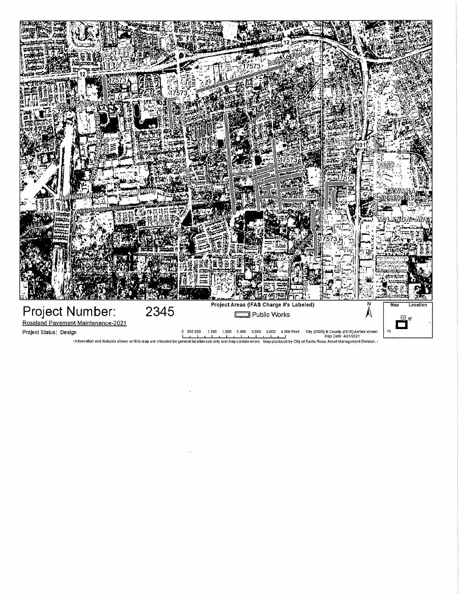